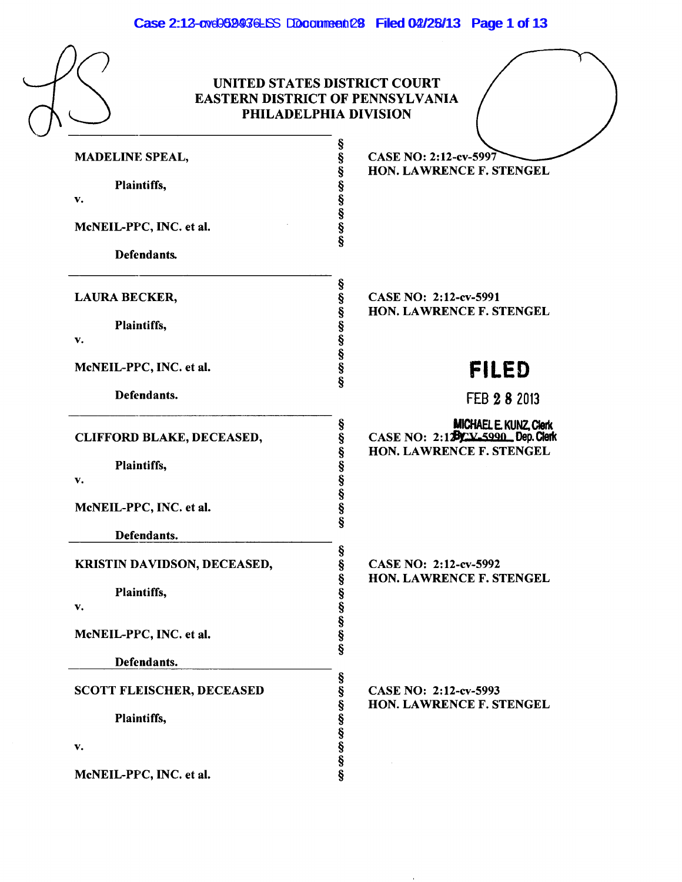Case 2:12-cve0599476LSS DDocument 28 Filed 02/28/13 Page 1 of 13

|                                  | PHILADELPHIA DIVISION                                        |
|----------------------------------|--------------------------------------------------------------|
| MADELINE SPEAL,                  | Š<br>Š<br><b>CASE NO: 2:12-cv-5997</b>                       |
| Plaintiffs,                      | Ş<br>HON. LAWRENCE F. STENGEL                                |
| v.                               |                                                              |
| McNEIL-PPC, INC. et al.          | SO 50 50 50 50                                               |
| Defendants.                      |                                                              |
| LAURA BECKER,                    | CASE NO: 2:12-cv-5991                                        |
| Plaintiffs,                      | HON. LAWRENCE F. STENGEL                                     |
| v.                               |                                                              |
| McNEIL-PPC, INC. et al.          | en en en en en en en en en<br><b>FILED</b>                   |
| Defendants.                      | FEB 2 8 2013                                                 |
| CLIFFORD BLAKE, DECEASED,        | MICHAEL E. KUNZ, Clerk<br>CASE NO: 2:12Py: V_5990_Dep. Clerk |
|                                  | HON. LAWRENCE F. STENGEL                                     |
| Plaintiffs,<br>v.                |                                                              |
| McNEIL-PPC, INC. et al.          | en en en en en en en en en                                   |
| Defendants.                      |                                                              |
| KRISTIN DAVIDSON, DECEASED,      | §<br>§<br>CASE NO: 2:12-cv-5992                              |
| Plaintiffs,                      | HON. LAWRENCE F. STENGEL                                     |
| v.                               |                                                              |
| McNEIL-PPC, INC. et al.          | မွာ မွာ မွာ မွာ မွာ မွာ                                      |
| Defendants.                      |                                                              |
| <b>SCOTT FLEISCHER, DECEASED</b> | <b>00 00 00 00 00 00 00</b><br>CASE NO: 2:12-cv-5993         |
| Plaintiffs,                      | HON. LAWRENCE F. STENGEL                                     |

 $\alpha$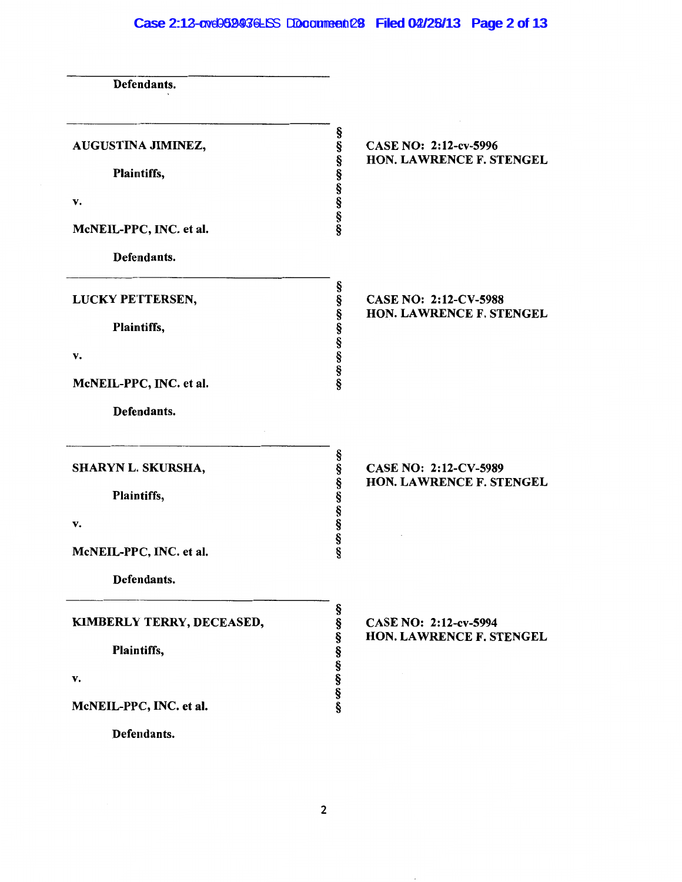# Case 2:12-ove059936LSS DDocument 28 Filed 02/28/13 Page 2 of 13

| Defendants.                             |                                                     |                                                   |
|-----------------------------------------|-----------------------------------------------------|---------------------------------------------------|
| AUGUSTINA JIMINEZ,<br>Plaintiffs,<br>v. | 89 89 99 99 99 99 99 99                             | CASE NO: 2:12-cv-5996<br>HON. LAWRENCE F. STENGEL |
| McNEIL-PPC, INC. et al.                 |                                                     |                                                   |
| Defendants.                             |                                                     |                                                   |
| LUCKY PETTERSEN,                        |                                                     | CASE NO: 2:12-CV-5988                             |
| Plaintiffs,                             | en en en en en en en en<br>HON. LAWRENCE F. STENGEL |                                                   |
| v.                                      |                                                     |                                                   |
| McNEIL-PPC, INC. et al.                 |                                                     |                                                   |
| Defendants.                             |                                                     |                                                   |
| SHARYN L. SKURSHA,                      |                                                     | CASE NO: 2:12-CV-5989                             |
| Plaintiffs,                             | en en en en en en en en                             | HON. LAWRENCE F. STENGEL                          |
| v.                                      |                                                     |                                                   |
| McNEIL-PPC, INC. et al.                 |                                                     |                                                   |
| Defendants.                             |                                                     |                                                   |
| KIMBERLY TERRY, DECEASED,               | 89 89 99 99 99 99 99 99                             | CASE NO: 2:12-cv-5994<br>HON. LAWRENCE F. STENGEL |
| Plaintiffs,                             |                                                     |                                                   |
| v.                                      |                                                     |                                                   |
| McNEIL-PPC, INC. et al.                 |                                                     |                                                   |
| Defendants.                             |                                                     |                                                   |

 $\bar{ }$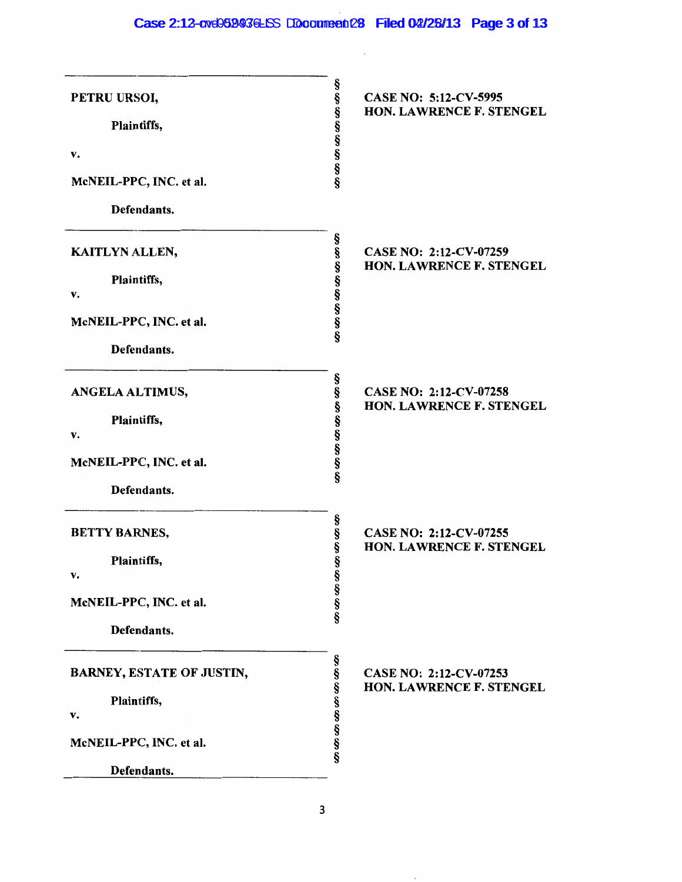## Case 2:12-cve052436LSS DDocument 28 Filed 02/25/13 Page 3 of 13

| PETRU URSOI,                     | 69 89 99 99 99 99 99 99 | CASE NO: 5:12-CV-5995<br>HON. LAWRENCE F. STENGEL         |
|----------------------------------|-------------------------|-----------------------------------------------------------|
| Plaintiffs,                      |                         |                                                           |
| v.                               |                         |                                                           |
| McNEIL-PPC, INC. et al.          |                         |                                                           |
| Defendants.                      |                         |                                                           |
| KAITLYN ALLEN,                   |                         | CASE NO: 2:12-CV-07259<br>HON. LAWRENCE F. STENGEL        |
| Plaintiffs,<br>v.                | en en en en en en en en |                                                           |
| McNEIL-PPC, INC. et al.          |                         |                                                           |
| Defendants.                      |                         |                                                           |
| ANGELA ALTIMUS,                  |                         | <b>CASE NO: 2:12-CV-07258</b><br>HON. LAWRENCE F. STENGEL |
| Plaintiffs,<br>v.                |                         |                                                           |
| McNEIL-PPC, INC. et al.          | 89 89 99 99 99 99 99 99 |                                                           |
| Defendants.                      |                         |                                                           |
| <b>BETTY BARNES,</b>             | SO 50 50 50             | CASE NO: 2:12-CV-07255<br>HON. LAWRENCE F. STENGEL        |
| Plaintiffs,<br>v.                |                         |                                                           |
| McNEIL-PPC, INC. et al.          | SO 100 100              |                                                           |
| Defendants.                      |                         |                                                           |
| <b>BARNEY, ESTATE OF JUSTIN,</b> |                         | CASE NO: 2:12-CV-07253                                    |
| Plaintiffs,<br>v.                | 69 89 99 99 99 99 99 99 | HON. LAWRENCE F. STENGEL                                  |
| McNEIL-PPC, INC. et al.          |                         |                                                           |
| Defendants.                      |                         |                                                           |
|                                  |                         |                                                           |

 $\bar{.}$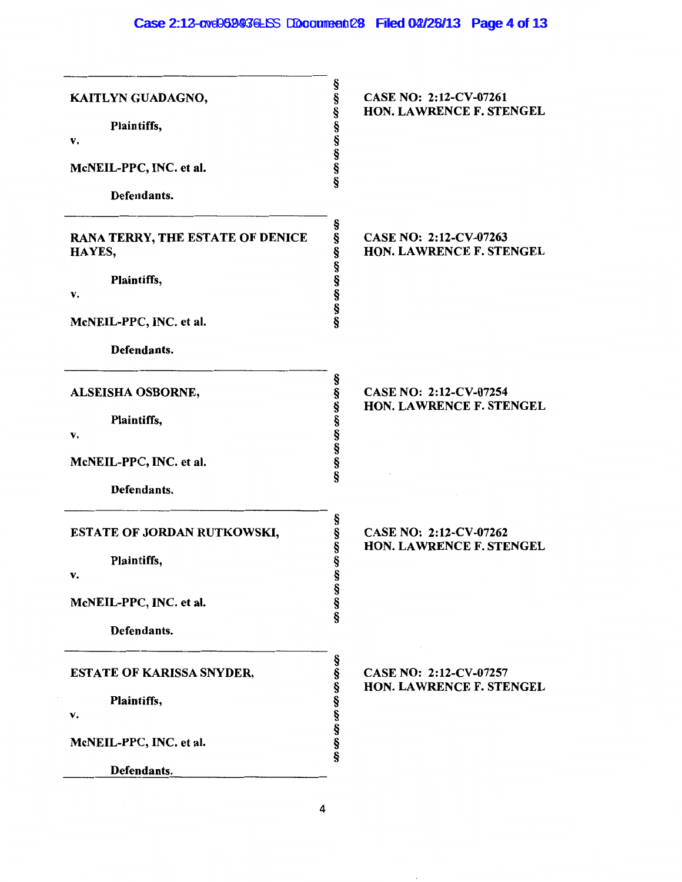## Case 2:12-cve0599476LSS DDocument 28 Filed 02/25/13 Page 4 of 13

| KAITLYN GUADAGNO,<br>Plaintiffs,<br>v.<br>McNEIL-PPC, INC. et al.<br>Defendants.                          | ş<br>ş<br>ş<br>ş<br>Ş<br>Ş<br>§<br>§ | CASE NO: 2:12-CV-07261<br>HON. LAWRENCE F. STENGEL |
|-----------------------------------------------------------------------------------------------------------|--------------------------------------|----------------------------------------------------|
| RANA TERRY, THE ESTATE OF DENICE<br>HAYES,<br>Plaintiffs,<br>v.<br>McNEIL-PPC, INC. et al.<br>Defendants. | ş<br>§<br>Ş<br>80.00.00.00.00        | CASE NO: 2:12-CV-07263<br>HON. LAWRENCE F. STENGEL |
| ALSEISHA OSBORNE,<br>Plaintiffs,<br>v.<br>McNEIL-PPC, INC. et al.<br>Defendants.                          | §<br>600000000<br>§<br>§             | CASE NO: 2:12-CV-07254<br>HON. LAWRENCE F. STENGEL |
| <b>ESTATE OF JORDAN RUTKOWSKI,</b><br>Plaintiffs,<br>v.<br>McNEIL-PPC, INC. et al.<br>Defendants.         | SS 30 00 00<br>SS 85 95 96           | CASE NO: 2:12-CV-07262<br>HON. LAWRENCE F. STENGEL |
| <b>ESTATE OF KARISSA SNYDER,</b><br>Plaintiffs,<br>v.<br>McNEIL-PPC, INC. et al.<br>Defendants.           | Ş<br>§<br>ş<br>8900000               | CASE NO: 2:12-CV-07257<br>HON. LAWRENCE F. STENGEL |

l,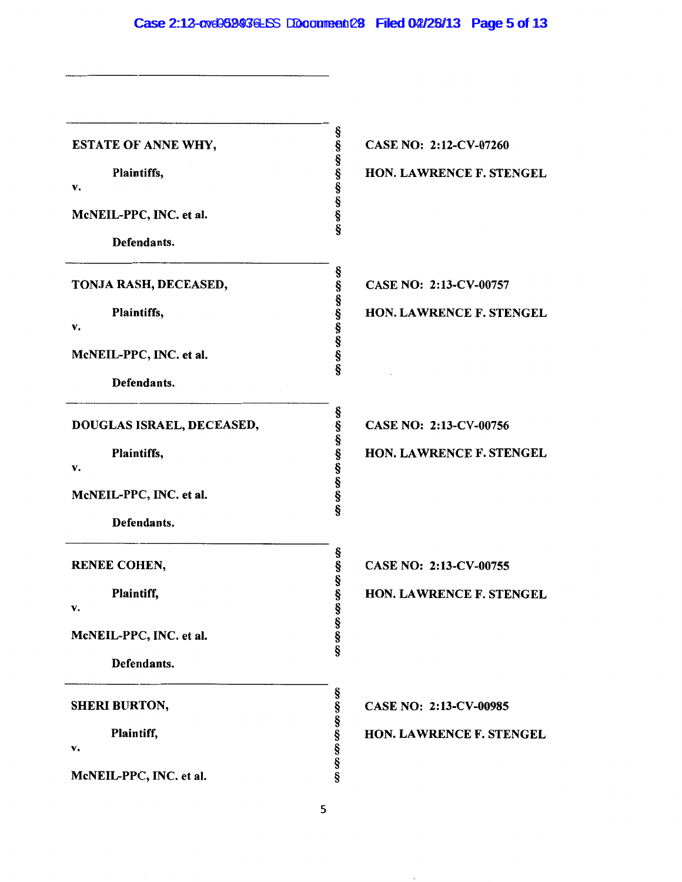Case 2:12-cve052436LSS DDocument 28 Filed 02/28/13 Page 5 of 13

| <b>ESTATE OF ANNE WHY,</b> | 89 89 99 99 99 99 99 99<br>CASE NO: 2:12-CV-07260 |
|----------------------------|---------------------------------------------------|
| Plaintiffs,                | <b>HON. LAWRENCE F. STENGEL</b>                   |
| v.                         |                                                   |
| McNEIL-PPC, INC. et al.    |                                                   |
| Defendants.                |                                                   |
| TONJA RASH, DECEASED,      | တ ဟာ ဟာ ဟာ ဟာ ဟာ ဟာ ဟာ<br>CASE NO: 2:13-CV-00757  |
| Plaintiffs,<br>v.          | HON. LAWRENCE F. STENGEL                          |
| McNEIL-PPC, INC. et al.    |                                                   |
| Defendants.                |                                                   |
| DOUGLAS ISRAEL, DECEASED,  | §<br>§<br>CASE NO: 2:13-CV-00756                  |
| Plaintiffs,<br>v.          | တ္တို့တာတာတာတာ<br>HON. LAWRENCE F. STENGEL        |
| McNEIL-PPC, INC. et al.    |                                                   |
| Defendants.                |                                                   |
| <b>RENEE COHEN,</b>        | CASE NO: 2:13-CV-00755                            |
| Plaintiff,<br>v.           | <b>HON. LAWRENCE F. STENGEL</b>                   |
| McNEIL-PPC, INC. et al.    | တ္ တက္တက္တ                                        |
| Defendants.                |                                                   |
| <b>SHERI BURTON,</b>       | CASE NO: 2:13-CV-00985                            |
| Plaintiff,<br>v.           | 89 89 89 89 89 89<br>HON. LAWRENCE F. STENGEL     |
| McNEIL-PPC, INC. et al.    |                                                   |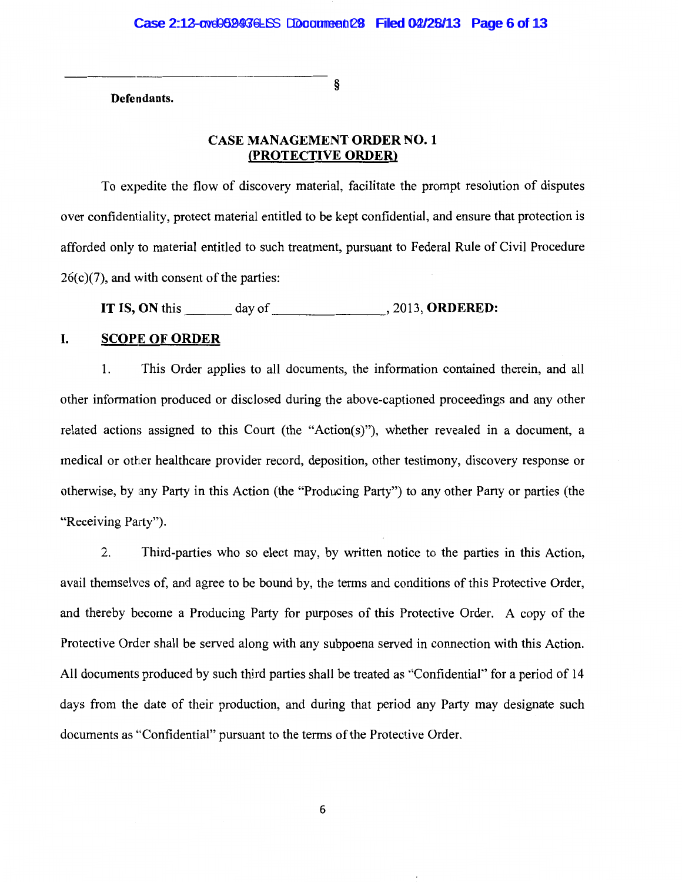§

Defendants.

## CASE MANAGEMENT ORDER NO. 1 (PROTECTIVE ORDER)

To expedite the flow of discovery material, facilitate the prompt resolution of disputes over confidentiality, protect material entitled to be kept confidential, and ensure that protection is afforded only to material entitled to such treatment, pursuant to Federal Rule of Civil Procedure  $26(c)(7)$ , and with consent of the parties:

IT IS, ON this  $\_\_\_\_\_\$  day of  $\_\_\_\_\_\_\$ , 2013, ORDERED:

## I. SCOPE OF ORDER

1. This Order applies to all documents, the information contained therein, and all other information produced or disclosed during the above-captioned proceedings and any other related actions assigned to this Court (the "Action(s)"), whether revealed in a document, a medical or other healthcare provider record, deposition, other testimony, discovery response or otherwise, by any Party in this Action (the "Producing Party") to any other Party or parties (the "Receiving Party").

2. Third-parties who so elect may, by written notice to the parties in this Action, avail themselves of, and agree to be bound by, the terms and conditions of this Protective Order, and thereby become a Producing Party for purposes of this Protective Order. A copy of the Protective Order shall be served along with any subpoena served in connection with this Action. All documents produced by such third parties shall be treated as "Confidential" for a period of 14 days from the date of their production, and during that period any Party may designate such documents as "Confidential" pursuant to the terms of the Protective Order.

6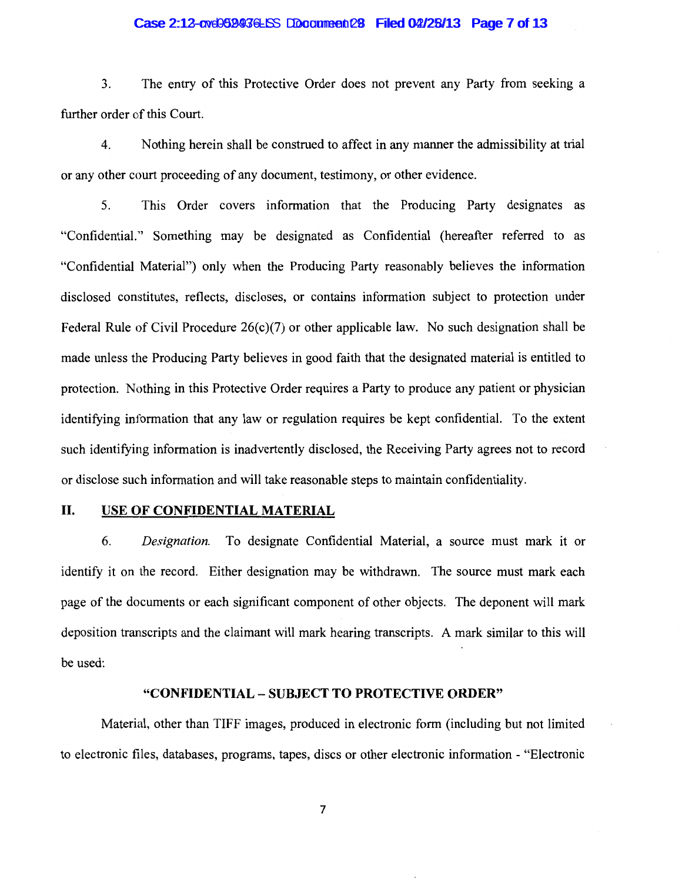#### Case 2:12-cvd0699436LSS DDocument 28 Filed 04/28/13 Page 7 of 13

3. The entry of this Protective Order does not prevent any Party from seeking a further order of this Court.

4. Nothing herein shall be construed to affect in any manner the admissibility at trial or any other court proceeding of any document, testimony, or other evidence.

5. This Order covers information that the Producing Party designates as "Confidential." Something may be designated as Confidential (hereafter referred to as "Confidential Material") only when the Producing Party reasonably believes the information disclosed constitutes, reflects, discloses, or contains information subject to protection under Federal Rule of Civil Procedure  $26(c)(7)$  or other applicable law. No such designation shall be made unless the Producing Party believes in good faith that the designated material is entitled to protection. Nothing in this Protective Order requires a Party to produce any patient or physician identifying information that any law or regulation requires be kept confidential. To the extent such identifying information is inadvertently disclosed, the Receiving Party agrees not to record or disclose such information and will take reasonable steps to maintain confidentiality.

## II. USE OF CONFIDENTIAL MATERIAL

6. *Designation.* To designate Confidential Material, a source must mark it or identify it on the record. Either designation may be withdrawn. The source must mark each page of the documents or each significant component of other objects. The deponent will mark deposition transcripts and the claimant will mark hearing transcripts. A mark similar to this will be used:

#### "CONFIDENTIAL- SUBJECT TO PROTECTIVE ORDER"

Material, other than TIFF images, produced in electronic form (including but not limited to electronic files, databases, programs, tapes, discs or other electronic information - "Electronic

7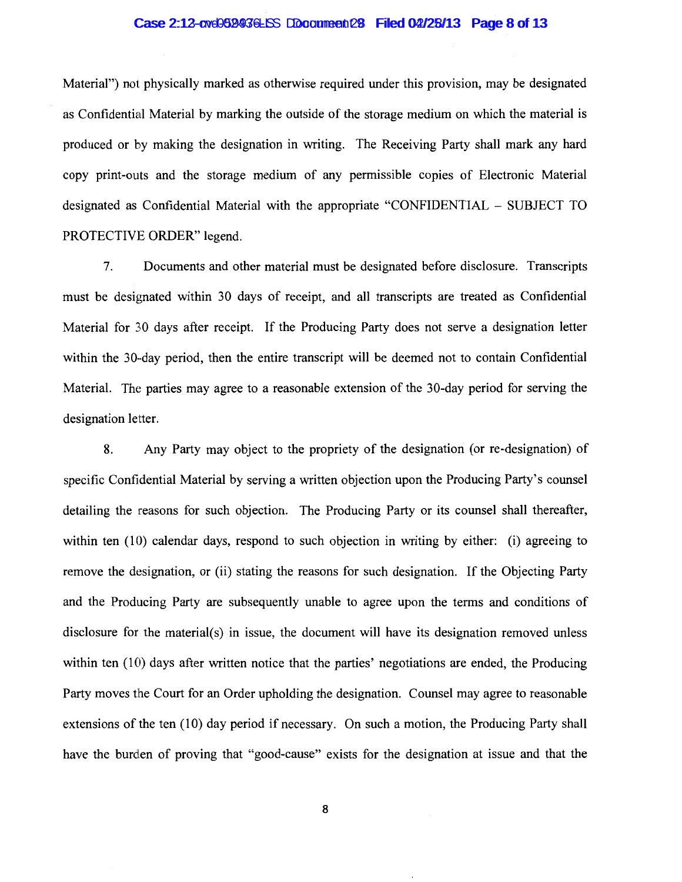#### Case 2:12-cvd0699436LSS DDocument 28 Filed 04/28/13 Page 8 of 13

Material") not physically marked as otherwise required under this provision, may be designated as Confidential Material by marking the outside of the storage medium on which the material is produced or by making the designation in writing. The Receiving Party shall mark any hard copy print-outs and the storage medium of any permissible copies of Electronic Material designated as Confidential Material with the appropriate "CONFIDENTIAL - SUBJECT TO PROTECTIVE ORDER" legend.

7. Documents and other material must be designated before disclosure. Transcripts must be designated within 30 days of receipt, and all transcripts are treated as Confidential Material for 30 days after receipt. If the Producing Party does not serve a designation letter within the 30-day period, then the entire transcript will be deemed not to contain Confidential Material. The parties may agree to a reasonable extension of the 30-day period for serving the designation letter.

8. Any Party may object to the propriety of the designation (or re-designation) of specific Confidential Material by serving a written objection upon the Producing Party's counsel detailing the reasons for such objection. The Producing Party or its counsel shall thereafter, within ten  $(10)$  calendar days, respond to such objection in writing by either: (i) agreeing to remove the designation, or (ii) stating the reasons for such designation. If the Objecting Party and the Producing Party are subsequently unable to agree upon the terms and conditions of disclosure for the material(s) in issue, the document will have its designation removed unless within ten (10) days after written notice that the parties' negotiations are ended, the Producing Party moves the Court for an Order upholding the designation. Counsel may agree to reasonable extensions of the ten (10) day period if necessary. On such a motion, the Producing Party shall have the burden of proving that "good-cause" exists for the designation at issue and that the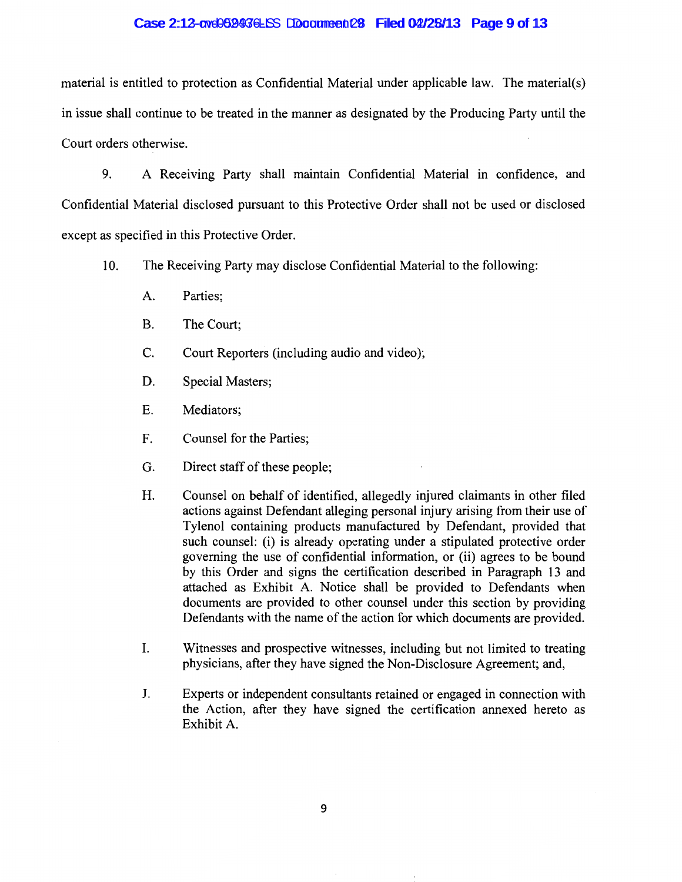#### Case 2:12-cvd0699436LSS DDocument 28 Filed 04/28/13 Page 9 of 13

material is entitled to protection as Confidential Material under applicable law. The material(s) in issue shall continue to be treated in the manner as designated by the Producing Party until the Court orders otherwise.

9. A Receiving Party shall maintain Confidential Material in confidence, and Confidential Material disclosed pursuant to this Protective Order shall not be used or disclosed except as specified in this Protective Order.

- 10. The Receiving Party may disclose Confidential Material to the following:
	- A. Parties;
	- B. The Court;
	- C. Court Reporters (including audio and video);
	- D. Special Masters;
	- E. Mediators;
	- F. Counsel for the Parties;
	- G. Direct staff of these people;
	- H. Counsel on behalf of identified, allegedly injured claimants in other filed actions against Defendant alleging personal injury arising from their use of Tylenol containing products manufactured by Defendant, provided that such counsel: (i) is already operating under a stipulated protective order governing the use of confidential information, or (ii) agrees to be bound by this Order and signs the certification described in Paragraph 13 and attached as Exhibit A. Notice shall be provided to Defendants when documents are provided to other counsel under this section by providing Defendants with the name of the action for which documents are provided.
	- I. Witnesses and prospective witnesses, including but not limited to treating physicians, after they have signed the Non-Disclosure Agreement; and,
	- J. Experts or independent consultants retained or engaged in connection with the Action, after they have signed the certification annexed hereto as Exhibit A.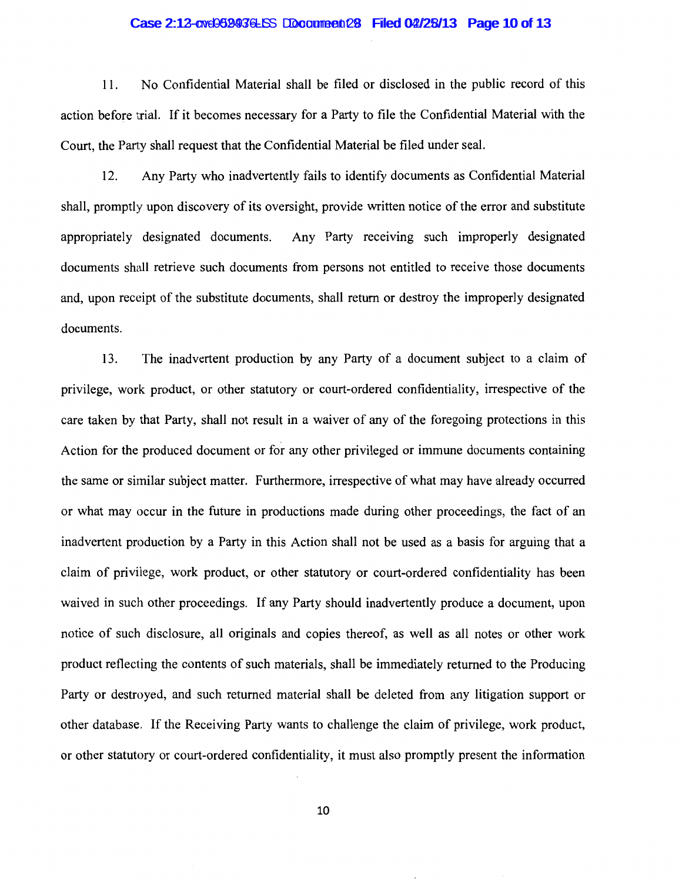#### $Case 2:12$ -cv $e0999936$ -LSS Document  $28$  Filed 0 $2/28/13$  Page 10 of 13

11. No Confidential Material shall be filed or disclosed in the public record of this action before trial. If it becomes necessary for a Party to file the Confidential Material with the Court, the Party shall request that the Confidential Material be filed under seal.

12. Any Party who inadvertently fails to identify documents as Confidential Material shall, promptly upon discovery of its oversight, provide written notice of the error and substitute appropriately designated documents. Any Party receiving such improperly designated documents shall retrieve such documents from persons not entitled to receive those documents and, upon receipt of the substitute documents, shall return or destroy the improperly designated documents.

13. The inadvertent production by any Party of a document subject to a claim of privilege, work product, or other statutory or court-ordered confidentiality, irrespective of the care taken by that Party, shall not result in a waiver of any of the foregoing protections in this Action for the produced document or for any other privileged or immune documents containing the same or similar subject matter. Furthermore, irrespective of what may have already occurred or what may occur in the future in productions made during other proceedings, the fact of an inadvertent production by a Party in this Action shall not be used as a basis for arguing that a claim of privilege, work product, or other statutory or court-ordered confidentiality has been waived in such other proceedings. If any Party should inadvertently produce a document, upon notice of such disclosure, all originals and copies thereof, as well as all notes or other work product reflecting the contents of such materials, shall be immediately returned to the Producing Party or destroyed, and such returned material shall be deleted from any litigation support or other database. If the Receiving Party wants to challenge the claim of privilege, work product, or other statutory or court-ordered confidentiality, it must also promptly present the information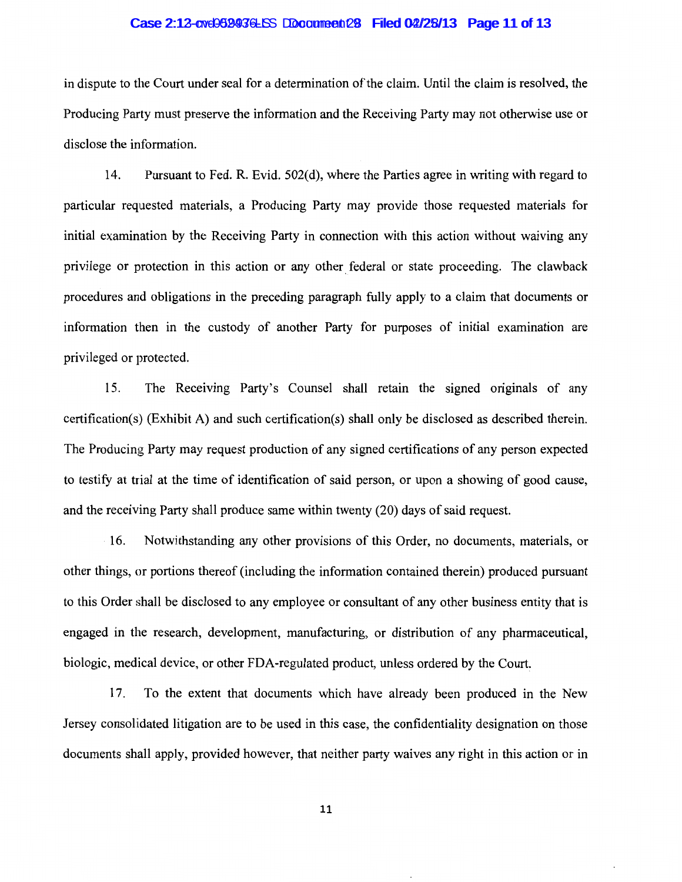#### $Case 2:12$ -cv $e0999936$ -LSS Document  $28$  Filed 0 $2/28/13$  Page 11 of 13

in dispute to the Court under seal for a determination of the claim. Until the claim is resolved, the Producing Party must preserve the information and the Receiving Party may not otherwise use or disclose the information.

14. Pursuant to Fed. R. Evid. 502(d), where the Parties agree in writing with regard to particular requested materials, a Producing Party may provide those requested materials for initial examination by the Receiving Party in connection with this action without waiving any privilege or protection in this action or any other federal or state proceeding. The clawback procedures and obligations in the preceding paragraph fully apply to a claim that documents or information then in the custody of another Party for purposes of initial examination are privileged or protected.

15. The Receiving Party's Counsel shall retain the signed originals of any certification(s) (Exhibit A) and such certification(s) shall only be disclosed as described therein. The Producing Party may request production of any signed certifications of any person expected to testify at trial at the time of identification of said person, or upon a showing of good cause, and the receiving Party shall produce same within twenty (20) days of said request.

16. Notwithstanding any other provisions of this Order, no documents, materials, or other things, or portions thereof (including the information contained therein) produced pursuant to this Order shall be disclosed to any employee or consultant of any other business entity that is engaged in the research, development, manufacturing, or distribution of any pharmaceutical, biologic, medical device, or other FDA-regulated product, unless ordered by the Court.

17. To the extent that documents which have already been produced in the New Jersey consolidated litigation are to be used in this case, the confidentiality designation on those documents shall apply, provided however, that neither party waives any right in this action or in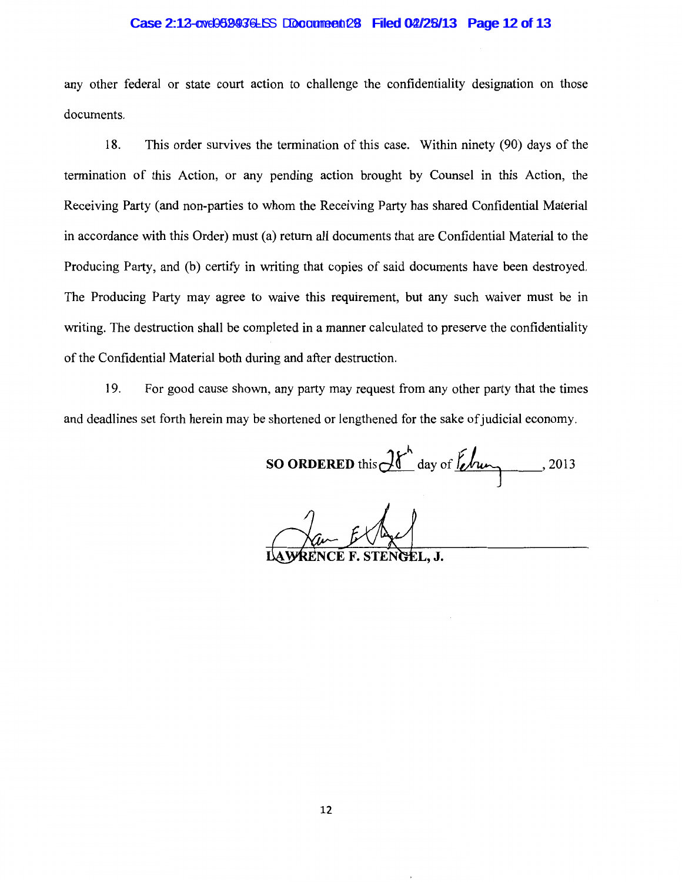#### $Case 2:12$ -cv $e0999936$ -LSS Document  $28$  Filed 0 $2/28/13$  Page 12 of 13

any other federal or state court action to challenge the confidentiality designation on those documents.

18. This order survives the termination of this case. Within ninety (90) days of the termination of this Action, or any pending action brought by Counsel in this Action, the Receiving Party (and non-parties to whom the Receiving Party has shared Confidential Material in accordance with this Order) must (a) return all documents that are Confidential Material to the Producing Patty, and (b) certify in writing that copies of said documents have been destroyed. The Producing Party may agree to waive this requirement, but any such waiver must be in writing. The destruction shall be completed in a manner calculated to preserve the confidentiality of the Confidential Material both during and after destruction.

19. For good cause shown, any party may request from any other party that the times and deadlines set forth herein may be shortened or lengthened for the sake of judicial economy.

SO ORDERED this  $\mathcal{H}^h$  day of  $\hbar$  /2013

LAWRENCE F. STENGEL, J.

12